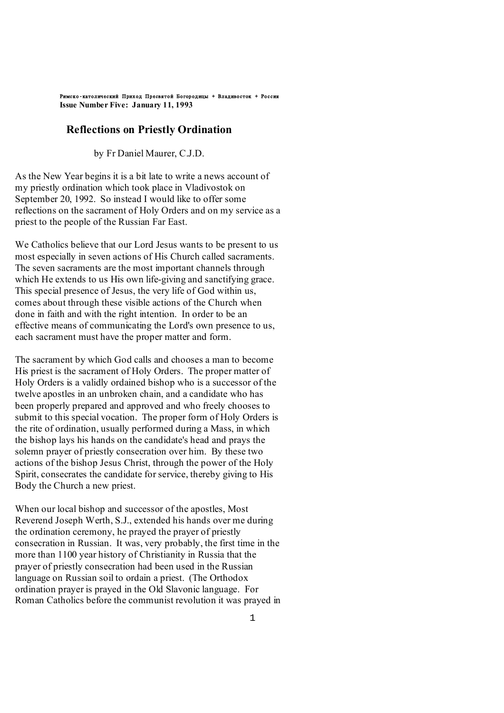Римско-католический Приход Пресвятой Богородицы + Владивосток + Россия **Issue Number Five: January 11, 1993** 

### **Reflections on Priestly Ordination**

by Fr Daniel Maurer, C.J.D.

As the New Year begins it is a bit late to write a news account of my priestly ordination which took place in Vladivostok on September 20, 1992. So instead I would like to offer some reflections on the sacrament of Holy Orders and on my service as a priest to the people of the Russian Far East.

We Catholics believe that our Lord Jesus wants to be present to us most especially in seven actions of His Church called sacraments. The seven sacraments are the most important channels through which He extends to us His own life-giving and sanctifying grace. This special presence of Jesus, the very life of God within us, comes about through these visible actions of the Church when done in faith and with the right intention. In order to be an effective means of communicating the Lord's own presence to us, each sacrament must have the proper matter and form.

The sacrament by which God calls and chooses a man to become His priest is the sacrament of Holy Orders. The proper matter of Holy Orders is a validly ordained bishop who is a successor of the twelve apostles in an unbroken chain, and a candidate who has been properly prepared and approved and who freely chooses to submit to this special vocation. The proper form of Holy Orders is the rite of ordination, usually performed during a Mass, in which the bishop lays his hands on the candidate's head and prays the solemn prayer of priestly consecration over him. By these two actions of the bishop Jesus Christ, through the power of the Holy Spirit, consecrates the candidate for service, thereby giving to His Body the Church a new priest.

When our local bishop and successor of the apostles, Most Reverend Joseph Werth, S.J., extended his hands over me during the ordination ceremony, he prayed the prayer of priestly consecration in Russian. It was, very probably, the first time in the more than 1100 year history of Christianity in Russia that the prayer of priestly consecration had been used in the Russian language on Russian soil to ordain a priest. (The Orthodox ordination prayer is prayed in the Old Slavonic language. For Roman Catholics before the communist revolution it was prayed in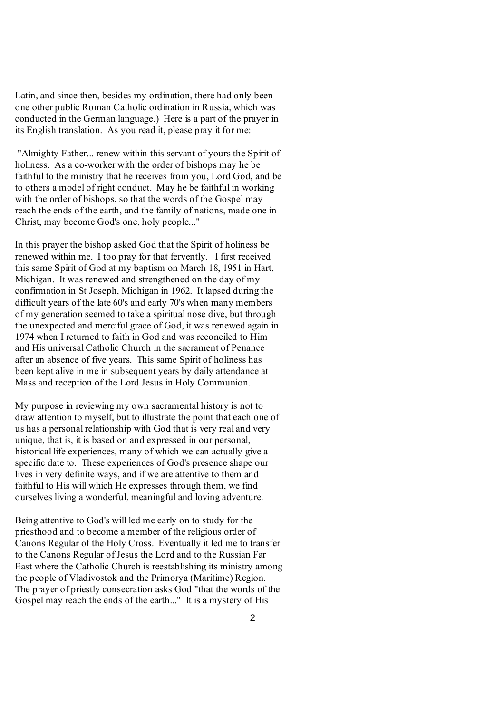Latin, and since then, besides my ordination, there had only been one other public Roman Catholic ordination in Russia, which was conducted in the German language.) Here is a part of the prayer in its English translation. As you read it, please pray it for me:

"Almighty Father... renew within this servant of yours the Spirit of holiness. As a co-worker with the order of bishops may he be faithful to the ministry that he receives from you, Lord God, and be to others a model of right conduct. May he be faithful in working with the order of bishops, so that the words of the Gospel may reach the ends of the earth, and the family of nations, made one in Christ, may become God's one, holy people..."

In this prayer the bishop asked God that the Spirit of holiness be renewed within me. I too pray for that fervently. I first received this same Spirit of God at my baptism on March 18, 1951 in Hart, Michigan. It was renewed and strengthened on the day of my confirmation in St Joseph, Michigan in 1962. It lapsed during the difficult years of the late 60's and early 70's when many members of my generation seemed to take a spiritual nose dive, but through the unexpected and merciful grace of God, it was renewed again in 1974 when I returned to faith in God and was reconciled to Him and His universal Catholic Church in the sacrament of Penance after an absence of five years. This same Spirit of holiness has been kept alive in me in subsequent years by daily attendance at Mass and reception of the Lord Jesus in Holy Communion.

My purpose in reviewing my own sacramental history is not to draw attention to myself, but to illustrate the point that each one of us has a personal relationship with God that is very real and very unique, that is, it is based on and expressed in our personal, historical life experiences, many of which we can actually give a specific date to. These experiences of God's presence shape our lives in very definite ways, and if we are attentive to them and faithful to His will which He expresses through them, we find ourselves living a wonderful, meaningful and loving adventure.

Being attentive to God's will led me early on to study for the priesthood and to become a member of the religious order of Canons Regular of the Holy Cross. Eventually it led me to transfer to the Canons Regular of Jesus the Lord and to the Russian Far East where the Catholic Church is reestablishing its ministry among the people of Vladivostok and the Primorya (Maritime) Region. The prayer of priestly consecration asks God "that the words of the Gospel may reach the ends of the earth..." It is a mystery of His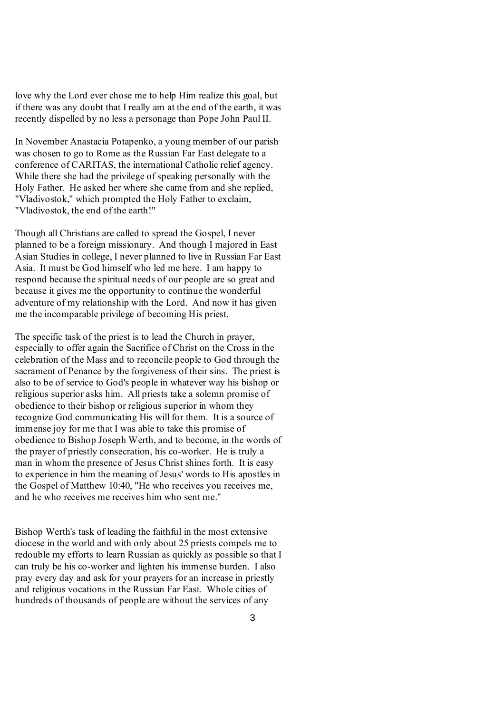love why the Lord ever chose me to help Him realize this goal, but if there was any doubt that I really am at the end of the earth, it was recently dispelled by no less a personage than Pope John Paul II.

In November Anastacia Potapenko, a young member of our parish was chosen to go to Rome as the Russian Far East delegate to a conference of CARITAS, the international Catholic relief agency. While there she had the privilege of speaking personally with the Holy Father. He asked her where she came from and she replied, "Vladivostok," which prompted the Holy Father to exclaim, "Vladivostok, the end of the earth!"

Though all Christians are called to spread the Gospel, I never planned to be a foreign missionary. And though I majored in East Asian Studies in college, I never planned to live in Russian Far East Asia. It must be God himself who led me here. I am happy to respond because the spiritual needs of our people are so great and because it gives me the opportunity to continue the wonderful adventure of my relationship with the Lord. And now it has given me the incomparable privilege of becoming His priest.

The specific task of the priest is to lead the Church in prayer, especially to offer again the Sacrifice of Christ on the Cross in the celebration of the Mass and to reconcile people to God through the sacrament of Penance by the forgiveness of their sins. The priest is also to be of service to God's people in whatever way his bishop or religious superior asks him. All priests take a solemn promise of obedience to their bishop or religious superior in whom they recognize God communicating His will for them. It is a source of immense joy for me that I was able to take this promise of obedience to Bishop Joseph Werth, and to become, in the words of the prayer of priestly consecration, his co-worker. He is truly a man in whom the presence of Jesus Christ shines forth. It is easy to experience in him the meaning of Jesus' words to His apostles in the Gospel of Matthew 10:40, "He who receives you receives me, and he who receives me receives him who sent me."

Bishop Werth's task of leading the faithful in the most extensive diocese in the world and with only about 25 priests compels me to redouble my efforts to learn Russian as quickly as possible so that I can truly be his co-worker and lighten his immense burden. I also pray every day and ask for your prayers for an increase in priestly and religious vocations in the Russian Far East. Whole cities of hundreds of thousands of people are without the services of any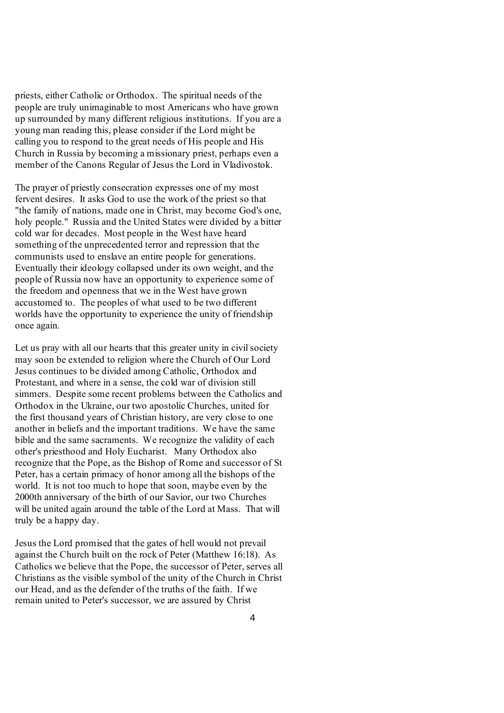priests, either Catholic or Orthodox. The spiritual needs of the people are truly unimaginable to most Americans who have grown up surrounded by many different religious institutions. If you are a young man reading this, please consider if the Lord might be calling you to respond to the great needs of His people and His Church in Russia by becoming a missionary priest, perhaps even a member of the Canons Regular of Jesus the Lord in Vladivostok.

The prayer of priestly consecration expresses one of my most fervent desires. It asks God to use the work of the priest so that "the family of nations, made one in Christ, may become God's one, holy people." Russia and the United States were divided by a bitter cold war for decades. Most people in the West have heard something of the unprecedented terror and repression that the communists used to enslave an entire people for generations. Eventually their ideology collapsed under its own weight, and the people of Russia now have an opportunity to experience some of the freedom and openness that we in the West have grown accustomed to. The peoples of what used to be two different worlds have the opportunity to experience the unity of friendship once again.

Let us pray with all our hearts that this greater unity in civil society may soon be extended to religion where the Church of Our Lord Jesus continues to be divided among Catholic, Orthodox and Protestant, and where in a sense, the cold war of division still simmers. Despite some recent problems between the Catholics and Orthodox in the Ukraine, our two apostolic Churches, united for the first thousand years of Christian history, are very close to one another in beliefs and the important traditions. We have the same bible and the same sacraments. We recognize the validity of each other's priesthood and Holy Eucharist. Many Orthodox also recognize that the Pope, as the Bishop of Rome and successor of St Peter, has a certain primacy of honor among all the bishops of the world. It is not too much to hope that soon, maybe even by the 2000th anniversary of the birth of our Savior, our two Churches will be united again around the table of the Lord at Mass. That will truly be a happy day.

Jesus the Lord promised that the gates of hell would not prevail against the Church built on the rock of Peter (Matthew 16:18). As Catholics we believe that the Pope, the successor of Peter, serves all Christians as the visible symbol of the unity of the Church in Christ our Head, and as the defender of the truths of the faith. If we remain united to Peter's successor, we are assured by Christ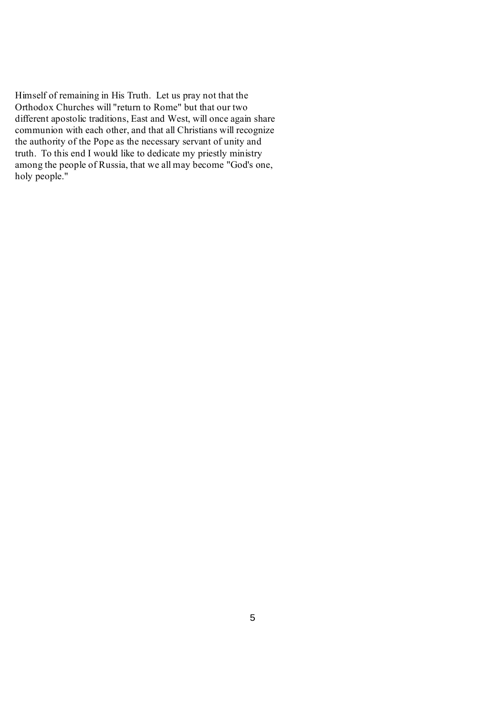Himself of remaining in His Truth. Let us pray not that the Orthodox Churches will "return to Rome" but that our two different apostolic traditions, East and West, will once again share communion with each other, and that all Christians will recognize the authority of the Pope as the necessary servant of unity and truth. To this end I would like to dedicate my priestly ministry among the people of Russia, that we all may become "God's one, holy people."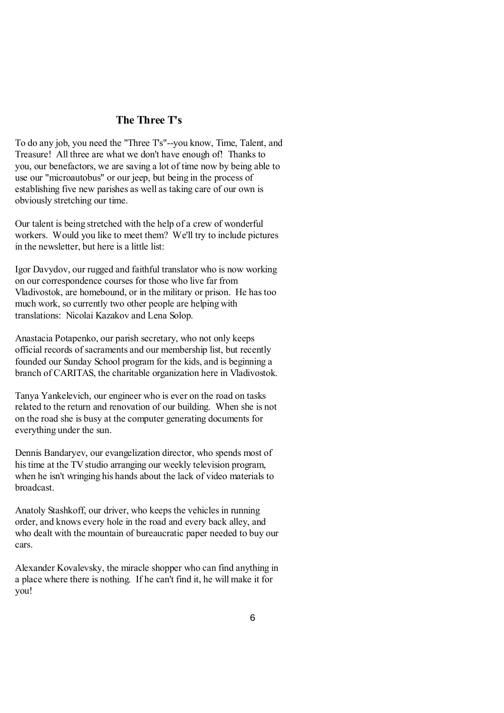# **The Three T's**

To do any job, you need the "Three T's"--you know, Time, Talent, and Treasure! All three are what we don't have enough of! Thanks to you, our benefactors, we are saving a lot of time now by being able to use our "microautobus" or our jeep, but being in the process of establishing five new parishes as well as taking care of our own is obviously stretching our time.

Our talent is being stretched with the help of a crew of wonderful workers. Would you like to meet them? We'll try to include pictures in the newsletter, but here is a little list:

Igor Davydov, our rugged and faithful translator who is now working on our correspondence courses for those who live far from Vladivostok, are homebound, or in the military or prison. He hastoo much work, so currently two other people are helping with translations: Nicolai Kazakov and Lena Solop.

Anastacia Potapenko, our parish secretary, who not only keeps official records of sacraments and our membership list, but recently founded our Sunday School program for the kids, and is beginning a branch of CARITAS, the charitable organization here in Vladivostok.

Tanya Yankelevich, our engineer who is ever on the road on tasks related to the return and renovation of our building. When she is not on the road she is busy at the computer generating documents for everything under the sun.

Dennis Bandaryev, our evangelization director, who spends most of histime at the TV studio arranging our weekly television program, when he isn't wringing his hands about the lack of video materials to broadcast.

Anatoly Stashkoff, our driver, who keeps the vehicles in running order, and knows every hole in the road and every back alley, and who dealt with the mountain of bureaucratic paper needed to buy our cars.

Alexander Kovalevsky, the miracle shopper who can find anything in a place where there is nothing. If he can't find it, he will make it for you!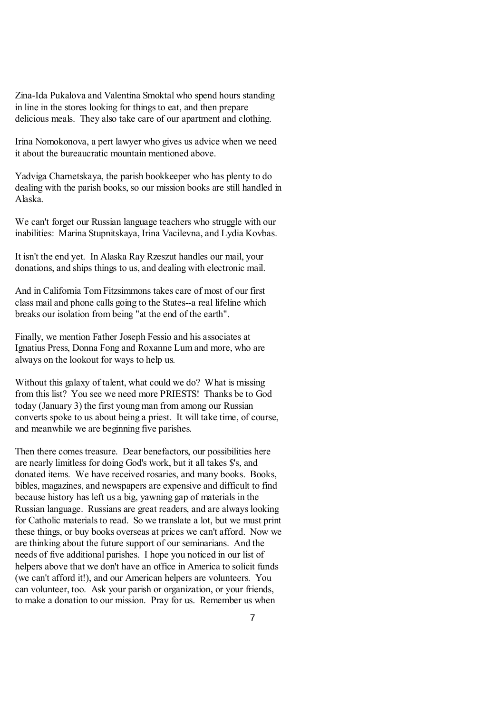Zina-Ida Pukalova and Valentina Smoktal who spend hours standing in line in the stores looking for things to eat, and then prepare delicious meals. They also take care of our apartment and clothing.

Irina Nomokonova, a pert lawyer who gives us advice when we need it about the bureaucratic mountain mentioned above.

Yadviga Charnetskaya, the parish bookkeeper who has plenty to do dealing with the parish books, so our mission books are still handled in Alaska.

We can't forget our Russian language teachers who struggle with our inabilities: Marina Stupnitskaya, Irina Vacilevna, and Lydia Kovbas.

It isn't the end yet. In Alaska Ray Rzeszut handles our mail, your donations, and ships things to us, and dealing with electronic mail.

And in California Tom Fitzsimmons takes care of most of our first class mail and phone calls going to the States--a real lifeline which breaks our isolation from being "at the end of the earth".

Finally, we mention Father Joseph Fessio and his associates at Ignatius Press, Donna Fong and Roxanne Lum and more, who are always on the lookout for ways to help us.

Without this galaxy of talent, what could we do? What is missing from this list? You see we need more PRIESTS! Thanks be to God today (January 3) the first young man from among our Russian converts spoke to us about being a priest. It will take time, of course, and meanwhile we are beginning five parishes.

Then there comes treasure. Dear benefactors, our possibilities here are nearly limitless for doing God's work, but it all takes \$'s, and donated items. We have received rosaries, and many books. Books, bibles, magazines, and newspapers are expensive and difficult to find because history has left us a big, yawning gap of materials in the Russian language. Russians are great readers, and are always looking for Catholic materials to read. So we translate a lot, but we must print these things, or buy books overseas at prices we can't afford. Now we are thinking about the future support of our seminarians. And the needs of five additional parishes. I hope you noticed in our list of helpers above that we don't have an office in America to solicit funds (we can't afford it!), and our American helpers are volunteers. You can volunteer, too. Ask your parish or organization, or your friends, to make a donation to our mission. Pray for us. Remember us when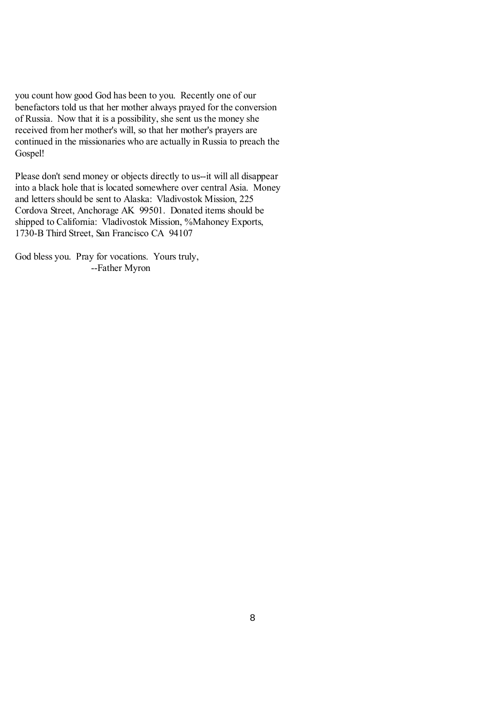you count how good God has been to you. Recently one of our benefactors told us that her mother always prayed for the conversion of Russia. Now that it is a possibility, she sent usthe money she received from her mother's will, so that her mother's prayers are continued in the missionaries who are actually in Russia to preach the Gospel!

Please don't send money or objects directly to us--it will all disappear into a black hole that is located somewhere over central Asia. Money and letters should be sent to Alaska: Vladivostok Mission, 225 Cordova Street, Anchorage AK 99501. Donated items should be shipped to California: Vladivostok Mission, %Mahoney Exports, 1730-B Third Street, San Francisco CA 94107

God bless you. Pray for vocations. Yours truly, --Father Myron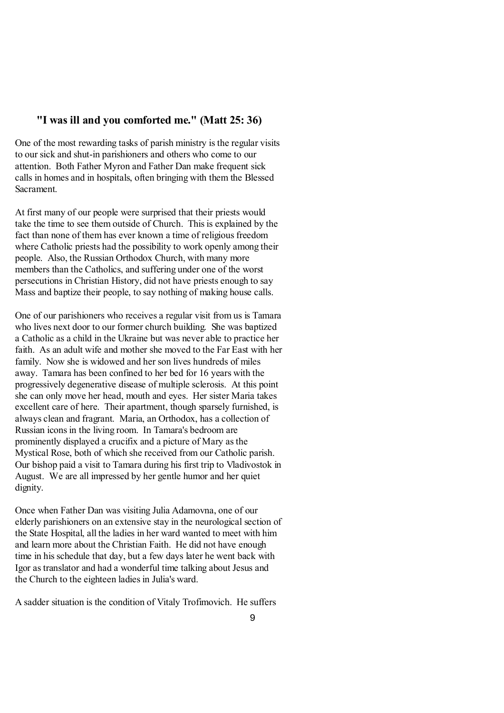### **"I was ill and you comforted me." (Matt 25: 36)**

One of the most rewarding tasks of parish ministry is the regular visits to our sick and shut-in parishioners and others who come to our attention. Both Father Myron and Father Dan make frequent sick calls in homes and in hospitals, often bringing with them the Blessed Sacrament.

At first many of our people were surprised that their priests would take the time to see them outside of Church. This is explained by the fact than none of them has ever known a time of religious freedom where Catholic priests had the possibility to work openly among their people. Also, the Russian Orthodox Church, with many more members than the Catholics, and suffering under one of the worst persecutions in Christian History, did not have priests enough to say Mass and baptize their people, to say nothing of making house calls.

One of our parishioners who receives a regular visit from us is Tamara who lives next door to our former church building. She was baptized a Catholic as a child in the Ukraine but was never able to practice her faith. As an adult wife and mother she moved to the Far East with her family. Now she is widowed and her son lives hundreds of miles away. Tamara has been confined to her bed for 16 years with the progressively degenerative disease of multiple sclerosis. At this point she can only move her head, mouth and eyes. Her sister Maria takes excellent care of here. Their apartment, though sparsely furnished, is always clean and fragrant. Maria, an Orthodox, has a collection of Russian icons in the living room. In Tamara's bedroom are prominently displayed a crucifix and a picture of Mary asthe Mystical Rose, both of which she received from our Catholic parish. Our bishop paid a visit to Tamara during his first trip to Vladivostok in August. We are all impressed by her gentle humor and her quiet dignity.

Once when Father Dan was visiting Julia Adamovna, one of our elderly parishioners on an extensive stay in the neurological section of the State Hospital, all the ladies in her ward wanted to meet with him and learn more about the Christian Faith. He did not have enough time in his schedule that day, but a few days later he went back with Igor astranslator and had a wonderful time talking about Jesus and the Church to the eighteen ladies in Julia's ward.

A sadder situation is the condition of Vitaly Trofimovich. He suffers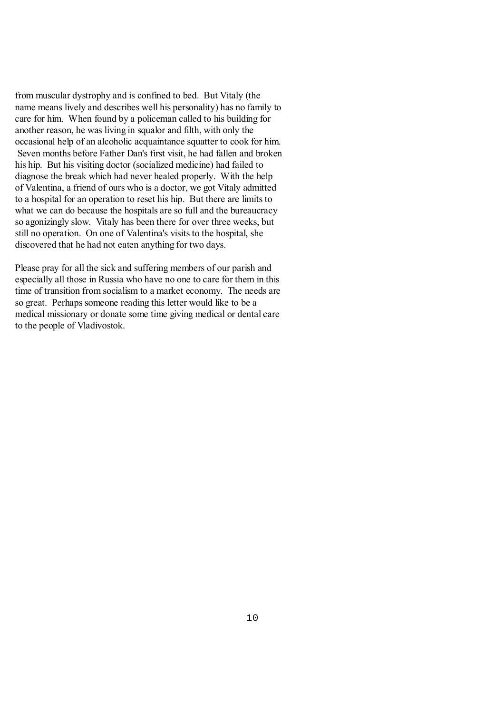from muscular dystrophy and is confined to bed. But Vitaly (the name means lively and describes well his personality) has no family to care for him. When found by a policeman called to his building for another reason, he was living in squalor and filth, with only the occasional help of an alcoholic acquaintance squatter to cook for him. Seven months before Father Dan's first visit, he had fallen and broken his hip. But his visiting doctor (socialized medicine) had failed to diagnose the break which had never healed properly. With the help of Valentina, a friend of ours who is a doctor, we got Vitaly admitted to a hospital for an operation to reset his hip. But there are limitsto what we can do because the hospitals are so full and the bureaucracy so agonizingly slow. Vitaly has been there for over three weeks, but still no operation. On one of Valentina's visits to the hospital, she discovered that he had not eaten anything for two days.

Please pray for all the sick and suffering members of our parish and especially all those in Russia who have no one to care for them in this time of transition from socialism to a market economy. The needs are so great. Perhaps someone reading this letter would like to be a medical missionary or donate some time giving medical or dental care to the people of Vladivostok.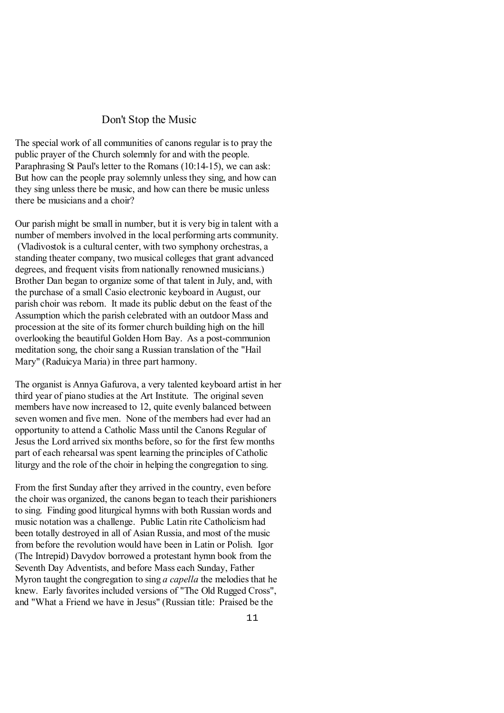### Don't Stop the Music

The special work of all communities of canons regular isto pray the public prayer of the Church solemnly for and with the people. Paraphrasing St Paul's letter to the Romans (10:14-15), we can ask: But how can the people pray solemnly unlessthey sing, and how can they sing unless there be music, and how can there be music unless there be musicians and a choir?

Our parish might be small in number, but it is very big in talent with a number of members involved in the local performing arts community. (Vladivostok is a cultural center, with two symphony orchestras, a standing theater company, two musical colleges that grant advanced degrees, and frequent visits from nationally renowned musicians.) Brother Dan began to organize some of that talent in July, and, with the purchase of a small Casio electronic keyboard in August, our parish choir was reborn. It made its public debut on the feast of the Assumption which the parish celebrated with an outdoor Mass and procession at the site of its former church building high on the hill overlooking the beautiful Golden Horn Bay. As a post-communion meditation song, the choir sang a Russian translation of the "Hail Mary" (Raduicya Maria) in three part harmony.

The organist is Annya Gafurova, a very talented keyboard artist in her third year of piano studies at the Art Institute. The original seven members have now increased to 12, quite evenly balanced between seven women and five men. None of the members had ever had an opportunity to attend a Catholic Mass until the Canons Regular of Jesus the Lord arrived six months before, so for the first few months part of each rehearsal was spent learning the principles of Catholic liturgy and the role of the choir in helping the congregation to sing.

From the first Sunday after they arrived in the country, even before the choir was organized, the canons began to teach their parishioners to sing. Finding good liturgical hymns with both Russian words and music notation was a challenge. Public Latin rite Catholicism had been totally destroyed in all of Asian Russia, and most of the music from before the revolution would have been in Latin or Polish. Igor (The Intrepid) Davydov borrowed a protestant hymn book from the Seventh Day Adventists, and before Mass each Sunday, Father Myron taught the congregation to sing *a capella* the melodiesthat he knew. Early favorites included versions of "The Old Rugged Cross", and "What a Friend we have in Jesus" (Russian title: Praised be the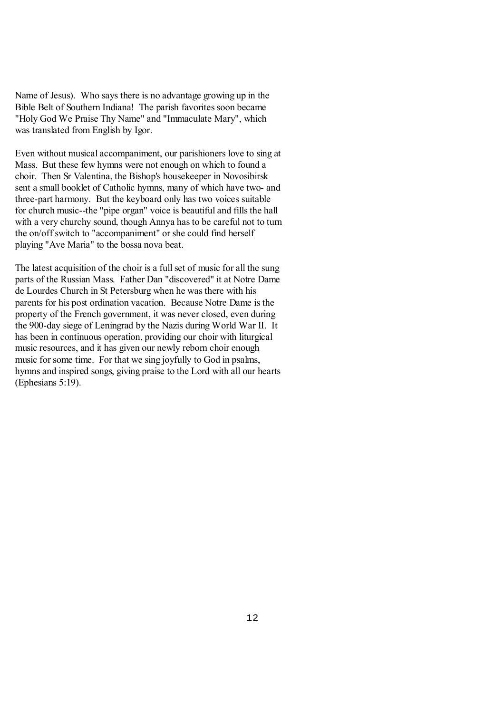Name of Jesus). Who says there is no advantage growing up in the Bible Belt of Southern Indiana! The parish favorites soon became "Holy God We Praise Thy Name" and "Immaculate Mary", which was translated from English by Igor.

Even without musical accompaniment, our parishioners love to sing at Mass. But these few hymns were not enough on which to found a choir. Then Sr Valentina, the Bishop's housekeeper in Novosibirsk sent a small booklet of Catholic hymns, many of which have two- and three-part harmony. But the keyboard only has two voices suitable for church music--the "pipe organ" voice is beautiful and fills the hall with a very churchy sound, though Annya has to be careful not to turn the on/off switch to "accompaniment" or she could find herself playing "Ave Maria" to the bossa nova beat.

The latest acquisition of the choir is a full set of music for all the sung parts of the Russian Mass. Father Dan "discovered" it at Notre Dame de Lourdes Church in St Petersburg when he wasthere with his parents for his post ordination vacation. Because Notre Dame isthe property of the French government, it was never closed, even during the 900-day siege of Leningrad by the Nazis during World War II. It has been in continuous operation, providing our choir with liturgical music resources, and it has given our newly reborn choir enough music for some time. For that we sing joyfully to God in psalms, hymns and inspired songs, giving praise to the Lord with all our hearts (Ephesians 5:19).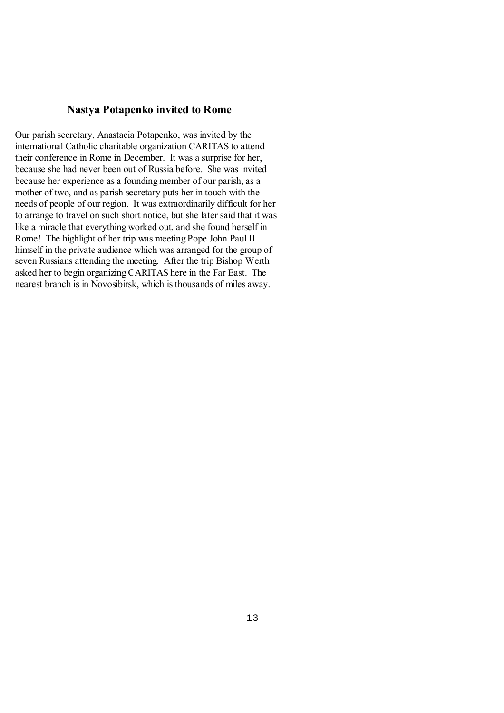# **Nastya Potapenko invited to Rome**

Our parish secretary, Anastacia Potapenko, was invited by the international Catholic charitable organization CARITAS to attend their conference in Rome in December. It was a surprise for her, because she had never been out of Russia before. She was invited because her experience as a founding member of our parish, as a mother of two, and as parish secretary puts her in touch with the needs of people of our region. It was extraordinarily difficult for her to arrange to travel on such short notice, but she later said that it was like a miracle that everything worked out, and she found herself in Rome! The highlight of her trip was meeting Pope John Paul II himself in the private audience which was arranged for the group of seven Russians attending the meeting. After the trip Bishop Werth asked her to begin organizing CARITAS here in the Far East. The nearest branch is in Novosibirsk, which isthousands of miles away.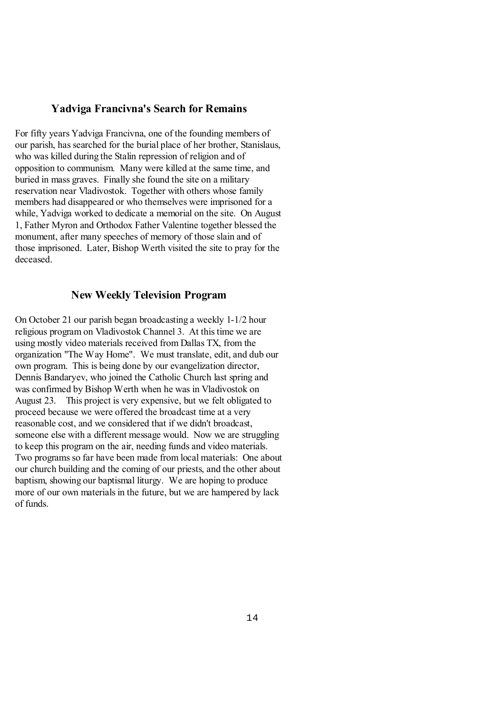#### **Yadviga Francivna's Search for Remains**

For fifty years Yadviga Francivna, one of the founding members of our parish, hassearched for the burial place of her brother, Stanislaus, who was killed during the Stalin repression of religion and of opposition to communism. Many were killed at the same time, and buried in mass graves. Finally she found the site on a military reservation near Vladivostok. Together with others whose family members had disappeared or who themselves were imprisoned for a while, Yadviga worked to dedicate a memorial on the site. On August 1, Father Myron and Orthodox Father Valentine together blessed the monument, after many speeches of memory of those slain and of those imprisoned. Later, Bishop Werth visited the site to pray for the deceased.

## **New Weekly Television Program**

On October 21 our parish began broadcasting a weekly 1-1/2 hour religious program on Vladivostok Channel 3. At this time we are using mostly video materials received from Dallas TX, from the organization "The Way Home". We must translate, edit, and dub our own program. This is being done by our evangelization director, Dennis Bandaryev, who joined the Catholic Church last spring and was confirmed by Bishop Werth when he was in Vladivostok on August 23. This project is very expensive, but we felt obligated to proceed because we were offered the broadcast time at a very reasonable cost, and we considered that if we didn't broadcast, someone else with a different message would. Now we are struggling to keep this program on the air, needing funds and video materials. Two programs so far have been made from local materials: One about our church building and the coming of our priests, and the other about baptism, showing our baptismal liturgy. We are hoping to produce more of our own materials in the future, but we are hampered by lack of funds.